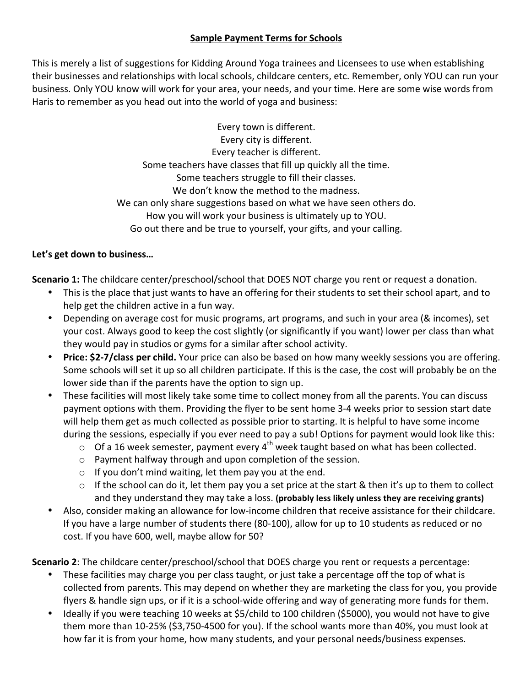## **Sample Payment Terms for Schools**

This is merely a list of suggestions for Kidding Around Yoga trainees and Licensees to use when establishing their businesses and relationships with local schools, childcare centers, etc. Remember, only YOU can run your business. Only YOU know will work for your area, your needs, and your time. Here are some wise words from Haris to remember as you head out into the world of yoga and business:

> Every town is different. Every city is different. Every teacher is different. Some teachers have classes that fill up quickly all the time. Some teachers struggle to fill their classes. We don't know the method to the madness. We can only share suggestions based on what we have seen others do. How you will work your business is ultimately up to YOU. Go out there and be true to yourself, your gifts, and your calling.

## Let's get down to business...

**Scenario 1:** The childcare center/preschool/school that DOES NOT charge you rent or request a donation.

- This is the place that just wants to have an offering for their students to set their school apart, and to help get the children active in a fun way.
- Depending on average cost for music programs, art programs, and such in your area (& incomes), set your cost. Always good to keep the cost slightly (or significantly if you want) lower per class than what they would pay in studios or gyms for a similar after school activity.
- **Price: \$2-7/class per child.** Your price can also be based on how many weekly sessions you are offering. Some schools will set it up so all children participate. If this is the case, the cost will probably be on the lower side than if the parents have the option to sign up.
- These facilities will most likely take some time to collect money from all the parents. You can discuss payment options with them. Providing the flyer to be sent home 3-4 weeks prior to session start date will help them get as much collected as possible prior to starting. It is helpful to have some income during the sessions, especially if you ever need to pay a sub! Options for payment would look like this:
	- $\circ$  Of a 16 week semester, payment every 4<sup>th</sup> week taught based on what has been collected.
	- $\circ$  Payment halfway through and upon completion of the session.
	- $\circ$  If you don't mind waiting, let them pay you at the end.
	- $\circ$  If the school can do it, let them pay you a set price at the start & then it's up to them to collect and they understand they may take a loss. (probably less likely unless they are receiving grants)
- Also, consider making an allowance for low-income children that receive assistance for their childcare. If you have a large number of students there (80-100), allow for up to 10 students as reduced or no cost. If you have 600, well, maybe allow for 50?

**Scenario 2**: The childcare center/preschool/school that DOES charge you rent or requests a percentage:

- These facilities may charge you per class taught, or just take a percentage off the top of what is collected from parents. This may depend on whether they are marketing the class for you, you provide flyers & handle sign ups, or if it is a school-wide offering and way of generating more funds for them.
- Ideally if you were teaching 10 weeks at \$5/child to 100 children (\$5000), you would not have to give them more than 10-25% (\$3,750-4500 for you). If the school wants more than 40%, you must look at how far it is from your home, how many students, and your personal needs/business expenses.